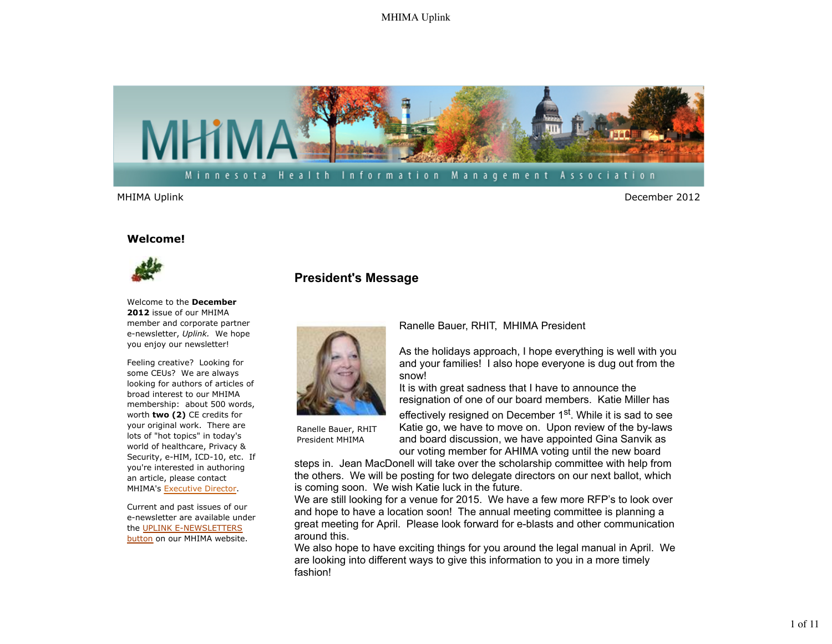

MHIMA Uplink December 2012

#### **Welcome!**



Welcome to the **December 2012** issue of our MHIMA member and corporate partner e-newsletter, *Uplink.* We hope you enjoy our newsletter!

Feeling creative? Looking for some CEUs? We are always looking for authors of articles of broad interest to our MHIMA membership: about 500 words, worth **two (2)** CE credits for your original work. There are lots of "hot topics" in today's world of healthcare, Privacy & Security, e-HIM, ICD-10, etc. If you're interested in authoring an article, please contact MHIMA's Executive Director.

Current and past issues of our e-newsletter are available under the UPLINK E-NEWSLETTERS button on our MHIMA website.

# **President's Message**



Ranelle Bauer, RHIT, MHIMA President

As the holidays approach, I hope everything is well with you and your families! I also hope everyone is dug out from the snow!

It is with great sadness that I have to announce the resignation of one of our board members. Katie Miller has

Ranelle Bauer, RHIT President MHIMA

effectively resigned on December 1<sup>st</sup>. While it is sad to see Katie go, we have to move on. Upon review of the by-laws and board discussion, we have appointed Gina Sanvik as our voting member for AHIMA voting until the new board

steps in. Jean MacDonell will take over the scholarship committee with help from the others. We will be posting for two delegate directors on our next ballot, which is coming soon. We wish Katie luck in the future.

We are still looking for a venue for 2015. We have a few more RFP's to look over and hope to have a location soon! The annual meeting committee is planning a great meeting for April. Please look forward for e-blasts and other communication around this.

We also hope to have exciting things for you around the legal manual in April. We are looking into different ways to give this information to you in a more timely fashion!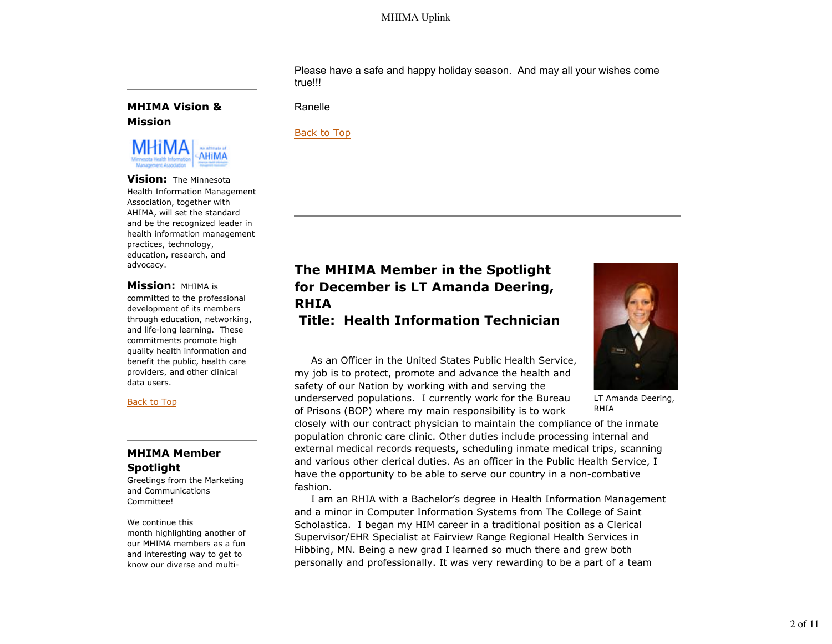Please have a safe and happy holiday season. And may all your wishes come true!!!

### **MHIMA Vision & Mission**



**Vision:** The Minnesota Health Information Management Association, together with AHIMA, will set the standard and be the recognized leader in health information management practices, technology, education, research, and advocacy.

#### **Mission:** MHIMA is

committed to the professional development of its members through education, networking, and life-long learning. These commitments promote high quality health information and benefit the public, health care providers, and other clinical data users.

#### Back to Top

### **MHIMA Member Spotlight**

Greetings from the Marketing and Communications Committee!

We continue this month highlighting another of our MHIMA members as a fun and interesting way to get to know our diverse and multiRanelle

### Back to Top

# **The MHIMA Member in the Spotlight for December is LT Amanda Deering, RHIA**

# **Title: Health Information Technician**

 As an Officer in the United States Public Health Service, my job is to protect, promote and advance the health and safety of our Nation by working with and serving the underserved populations. I currently work for the Bureau of Prisons (BOP) where my main responsibility is to work

closely with our contract physician to maintain the compliance of the inmate population chronic care clinic. Other duties include processing internal and external medical records requests, scheduling inmate medical trips, scanning and various other clerical duties. As an officer in the Public Health Service, I have the opportunity to be able to serve our country in a non-combative fashion.

 I am an RHIA with a Bachelor's degree in Health Information Management and a minor in Computer Information Systems from The College of Saint Scholastica. I began my HIM career in a traditional position as a Clerical Supervisor/EHR Specialist at Fairview Range Regional Health Services in Hibbing, MN. Being a new grad I learned so much there and grew both personally and professionally. It was very rewarding to be a part of a team



LT Amanda Deering, RHIA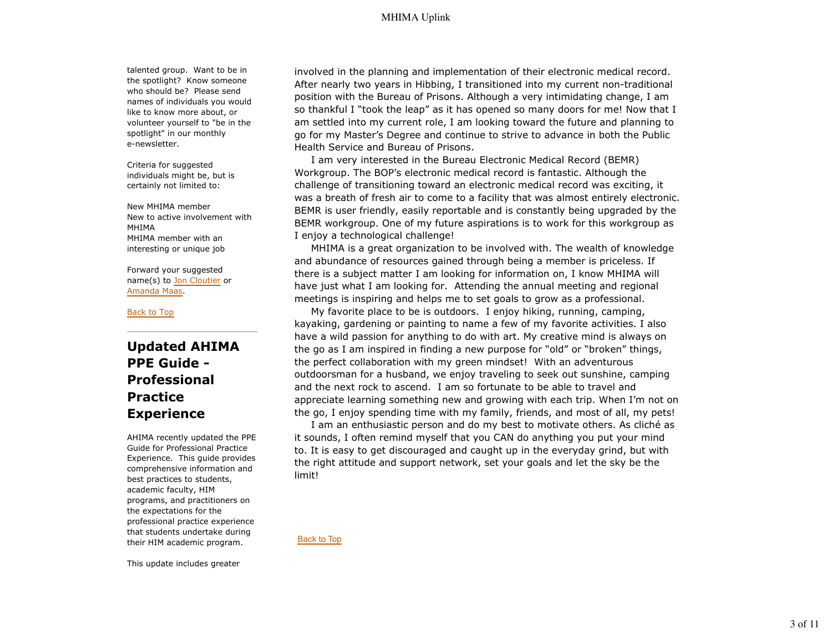talented group. Want to be in the spotlight? Know someone who should be? Please send names of individuals you would like to know more about, or volunteer yourself to "be in the spotlight" in our monthly e-newsletter.

Criteria for suggested individuals might be, but is certainly not limited to:

New MHIMA member New to active involvement with MHIMA MHIMA member with an interesting or unique job

Forward your suggested name(s) to Jon Cloutier or Amanda Maas.

Back to Top

# **Updated AHIMA PPE Guide - Professional Practice Experience**

AHIMA recently updated the PPE Guide for Professional Practice Experience. This guide provides comprehensive information and best practices to students, academic faculty, HIM programs, and practitioners on the expectations for the professional practice experience that students undertake during their HIM academic program.

involved in the planning and implementation of their electronic medical record. After nearly two years in Hibbing, I transitioned into my current non-traditional position with the Bureau of Prisons. Although a very intimidating change, I am so thankful I "took the leap" as it has opened so many doors for me! Now that I am settled into my current role, I am looking toward the future and planning to go for my Master's Degree and continue to strive to advance in both the Public Health Service and Bureau of Prisons.

 I am very interested in the Bureau Electronic Medical Record (BEMR) Workgroup. The BOP's electronic medical record is fantastic. Although the challenge of transitioning toward an electronic medical record was exciting, it was a breath of fresh air to come to a facility that was almost entirely electronic. BEMR is user friendly, easily reportable and is constantly being upgraded by the BEMR workgroup. One of my future aspirations is to work for this workgroup as I enjoy a technological challenge!

 MHIMA is a great organization to be involved with. The wealth of knowledge and abundance of resources gained through being a member is priceless. If there is a subject matter I am looking for information on, I know MHIMA will have just what I am looking for. Attending the annual meeting and regional meetings is inspiring and helps me to set goals to grow as a professional.

 My favorite place to be is outdoors. I enjoy hiking, running, camping, kayaking, gardening or painting to name a few of my favorite activities. I also have a wild passion for anything to do with art. My creative mind is always on the go as I am inspired in finding a new purpose for "old" or "broken" things, the perfect collaboration with my green mindset! With an adventurous outdoorsman for a husband, we enjoy traveling to seek out sunshine, camping and the next rock to ascend. I am so fortunate to be able to travel and appreciate learning something new and growing with each trip. When I'm not on the go, I enjoy spending time with my family, friends, and most of all, my pets!

 I am an enthusiastic person and do my best to motivate others. As cliché as it sounds, I often remind myself that you CAN do anything you put your mind to. It is easy to get discouraged and caught up in the everyday grind, but with the right attitude and support network, set your goals and let the sky be the limit!

Back to Top

This update includes greater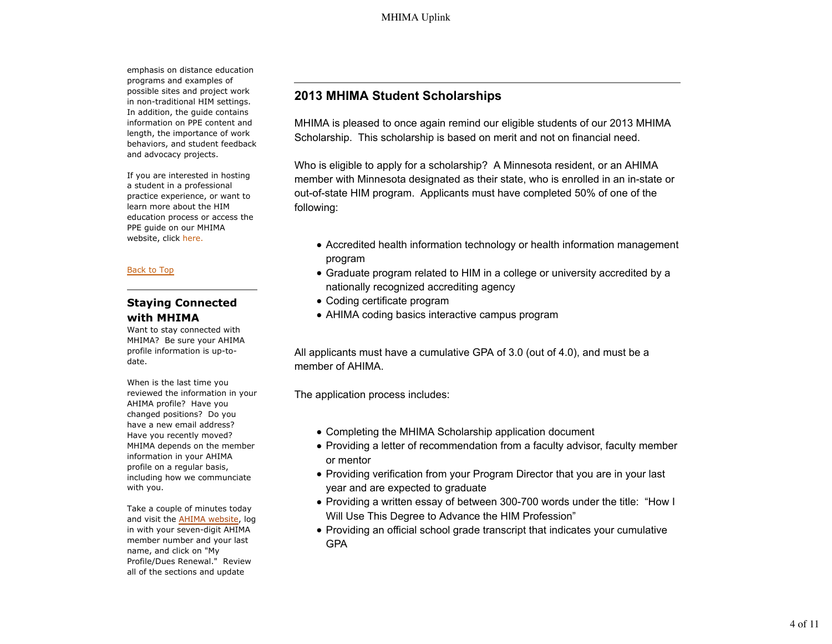emphasis on distance education programs and examples of possible sites and project work in non-traditional HIM settings. In addition, the guide contains information on PPE content and length, the importance of work behaviors, and student feedback and advocacy projects.

If you are interested in hosting a student in a professional practice experience, or want to learn more about the HIM education process or access the PPE guide on our MHIMA website, click here.

#### Back to Top

## **Staying Connected with MHIMA**

Want to stay connected with MHIMA? Be sure your AHIMA profile information is up-todate.

When is the last time you reviewed the information in your AHIMA profile? Have you changed positions? Do you have a new email address? Have you recently moved? MHIMA depends on the member information in your AHIMA profile on a regular basis, including how we communciate with you.

Take a couple of minutes today and visit the AHIMA website, log in with your seven-digit AHIMA member number and your last name, and click on "My Profile/Dues Renewal." Review all of the sections and update

# **2013 MHIMA Student Scholarships**

MHIMA is pleased to once again remind our eligible students of our 2013 MHIMA Scholarship. This scholarship is based on merit and not on financial need.

Who is eligible to apply for a scholarship? A Minnesota resident, or an AHIMA member with Minnesota designated as their state, who is enrolled in an in-state or out-of-state HIM program. Applicants must have completed 50% of one of the following:

- Accredited health information technology or health information management program
- Graduate program related to HIM in a college or university accredited by a nationally recognized accrediting agency
- Coding certificate program
- AHIMA coding basics interactive campus program

All applicants must have a cumulative GPA of 3.0 (out of 4.0), and must be a member of AHIMA.

The application process includes:

- Completing the MHIMA Scholarship application document
- Providing a letter of recommendation from a faculty advisor, faculty member or mentor
- Providing verification from your Program Director that you are in your last year and are expected to graduate
- Providing a written essay of between 300-700 words under the title: "How I Will Use This Degree to Advance the HIM Profession"
- Providing an official school grade transcript that indicates your cumulative GPA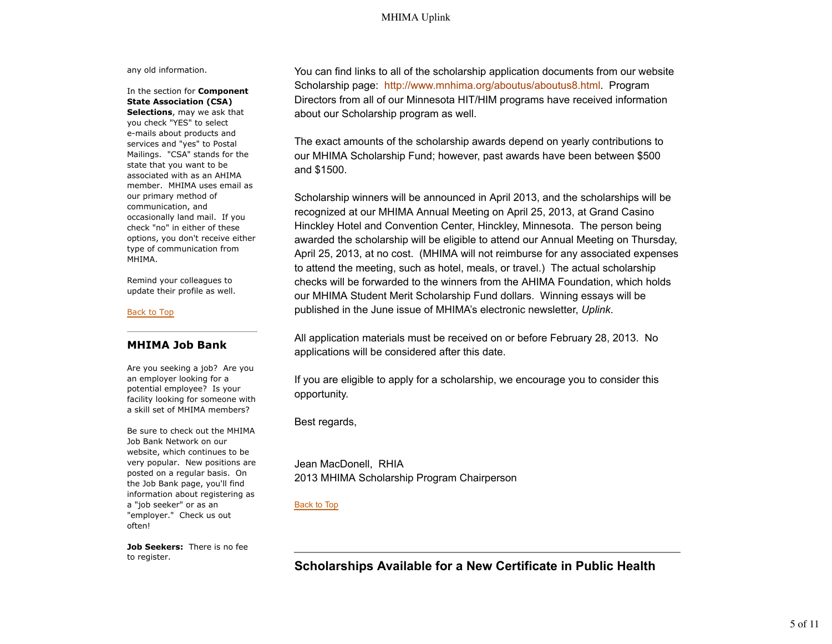any old information.

### In the section for **Component State Association (CSA)**

**Selections**, may we ask that you check "YES" to select e-mails about products and services and "yes" to Postal Mailings. "CSA" stands for the state that you want to be associated with as an AHIMA member. MHIMA uses email as our primary method of communication, and occasionally land mail. If you check "no" in either of these options, you don't receive either type of communication from MHIMA.

Remind your colleagues to update their profile as well.

#### Back to Top

#### **MHIMA Job Bank**

Are you seeking a job? Are you an employer looking for a potential employee? Is your facility looking for someone with a skill set of MHIMA members?

Be sure to check out the MHIMA Job Bank Network on our website, which continues to be very popular. New positions are posted on a regular basis. On the Job Bank page, you'll find information about registering as a "job seeker" or as an "employer." Check us out often!

**Job Seekers:** There is no fee to register.

You can find links to all of the scholarship application documents from our website Scholarship page: http://www.mnhima.org/aboutus/aboutus8.html. Program Directors from all of our Minnesota HIT/HIM programs have received information about our Scholarship program as well.

The exact amounts of the scholarship awards depend on yearly contributions to our MHIMA Scholarship Fund; however, past awards have been between \$500 and \$1500.

Scholarship winners will be announced in April 2013, and the scholarships will be recognized at our MHIMA Annual Meeting on April 25, 2013, at Grand Casino Hinckley Hotel and Convention Center, Hinckley, Minnesota. The person being awarded the scholarship will be eligible to attend our Annual Meeting on Thursday, April 25, 2013, at no cost. (MHIMA will not reimburse for any associated expenses to attend the meeting, such as hotel, meals, or travel.) The actual scholarship checks will be forwarded to the winners from the AHIMA Foundation, which holds our MHIMA Student Merit Scholarship Fund dollars. Winning essays will be published in the June issue of MHIMA's electronic newsletter, *Uplink*.

All application materials must be received on or before February 28, 2013. No applications will be considered after this date.

If you are eligible to apply for a scholarship, we encourage you to consider this opportunity.

Best regards,

Jean MacDonell, RHIA 2013 MHIMA Scholarship Program Chairperson

#### Back to Top

**Scholarships Available for a New Certificate in Public Health**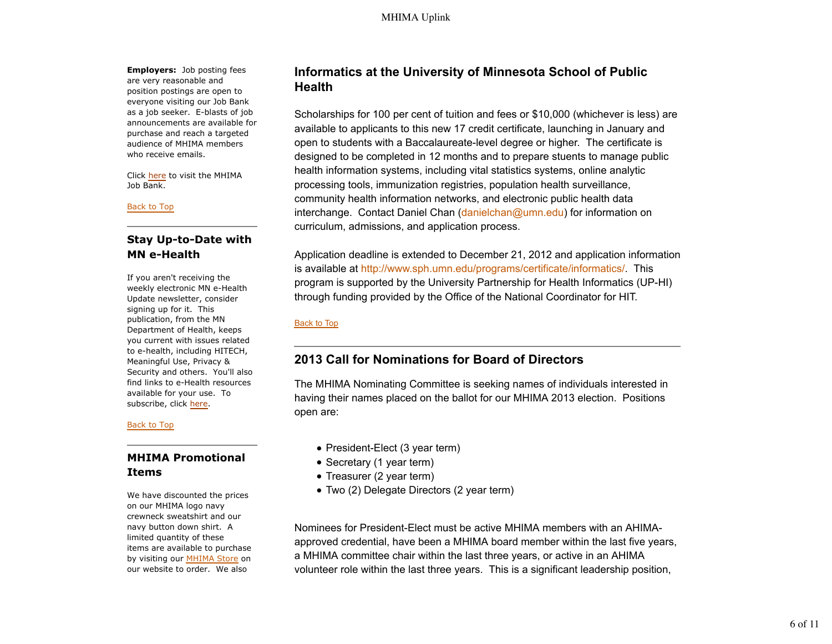**Employers:** Job posting fees are very reasonable and position postings are open to everyone visiting our Job Bank as a job seeker. E-blasts of job announcements are available for purchase and reach a targeted audience of MHIMA members who receive emails.

Click here to visit the MHIMA Job Bank.

#### Back to Top

# **Stay Up-to-Date with MN e-Health**

If you aren't receiving the weekly electronic MN e-Health Update newsletter, consider signing up for it. This publication, from the MN Department of Health, keeps you current with issues related to e-health, including HITECH, Meaningful Use, Privacy & Security and others. You'll also find links to e-Health resources available for your use. To subscribe, click here.

#### Back to Top

## **MHIMA Promotional Items**

We have discounted the prices on our MHIMA logo navy crewneck sweatshirt and our navy button down shirt. A limited quantity of these items are available to purchase by visiting our MHIMA Store on our website to order. We also

# **Informatics at the University of Minnesota School of Public Health**

Scholarships for 100 per cent of tuition and fees or \$10,000 (whichever is less) are available to applicants to this new 17 credit certificate, launching in January and open to students with a Baccalaureate-level degree or higher. The certificate is designed to be completed in 12 months and to prepare stuents to manage public health information systems, including vital statistics systems, online analytic processing tools, immunization registries, population health surveillance, community health information networks, and electronic public health data interchange. Contact Daniel Chan (danielchan@umn.edu) for information on curriculum, admissions, and application process.

Application deadline is extended to December 21, 2012 and application information is available at http://www.sph.umn.edu/programs/certificate/informatics/. This program is supported by the University Partnership for Health Informatics (UP-HI) through funding provided by the Office of the National Coordinator for HIT.

### Back to Top

# **2013 Call for Nominations for Board of Directors**

The MHIMA Nominating Committee is seeking names of individuals interested in having their names placed on the ballot for our MHIMA 2013 election. Positions open are:

- President-Elect (3 year term)
- Secretary (1 year term)
- Treasurer (2 year term)
- Two (2) Delegate Directors (2 year term)

Nominees for President-Elect must be active MHIMA members with an AHIMAapproved credential, have been a MHIMA board member within the last five years, a MHIMA committee chair within the last three years, or active in an AHIMA volunteer role within the last three years. This is a significant leadership position,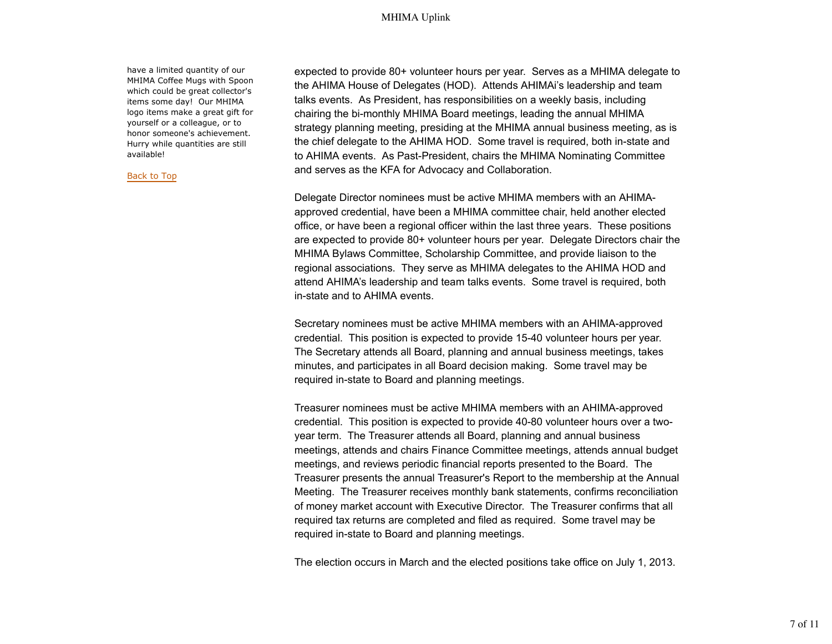have a limited quantity of our MHIMA Coffee Mugs with Spoon which could be great collector's items some day! Our MHIMA logo items make a great gift for yourself or a colleague, or to honor someone's achievement. Hurry while quantities are still available!

Back to Top

expected to provide 80+ volunteer hours per year. Serves as a MHIMA delegate to the AHIMA House of Delegates (HOD). Attends AHIMAi's leadership and team talks events. As President, has responsibilities on a weekly basis, including chairing the bi-monthly MHIMA Board meetings, leading the annual MHIMA strategy planning meeting, presiding at the MHIMA annual business meeting, as is the chief delegate to the AHIMA HOD. Some travel is required, both in-state and to AHIMA events. As Past-President, chairs the MHIMA Nominating Committee and serves as the KFA for Advocacy and Collaboration.

Delegate Director nominees must be active MHIMA members with an AHIMAapproved credential, have been a MHIMA committee chair, held another elected office, or have been a regional officer within the last three years. These positions are expected to provide 80+ volunteer hours per year. Delegate Directors chair the MHIMA Bylaws Committee, Scholarship Committee, and provide liaison to the regional associations. They serve as MHIMA delegates to the AHIMA HOD and attend AHIMA's leadership and team talks events. Some travel is required, both in-state and to AHIMA events.

Secretary nominees must be active MHIMA members with an AHIMA-approved credential. This position is expected to provide 15-40 volunteer hours per year. The Secretary attends all Board, planning and annual business meetings, takes minutes, and participates in all Board decision making. Some travel may be required in-state to Board and planning meetings.

Treasurer nominees must be active MHIMA members with an AHIMA-approved credential. This position is expected to provide 40-80 volunteer hours over a twoyear term. The Treasurer attends all Board, planning and annual business meetings, attends and chairs Finance Committee meetings, attends annual budget meetings, and reviews periodic financial reports presented to the Board. The Treasurer presents the annual Treasurer's Report to the membership at the Annual Meeting. The Treasurer receives monthly bank statements, confirms reconciliation of money market account with Executive Director. The Treasurer confirms that all required tax returns are completed and filed as required. Some travel may be required in-state to Board and planning meetings.

The election occurs in March and the elected positions take office on July 1, 2013.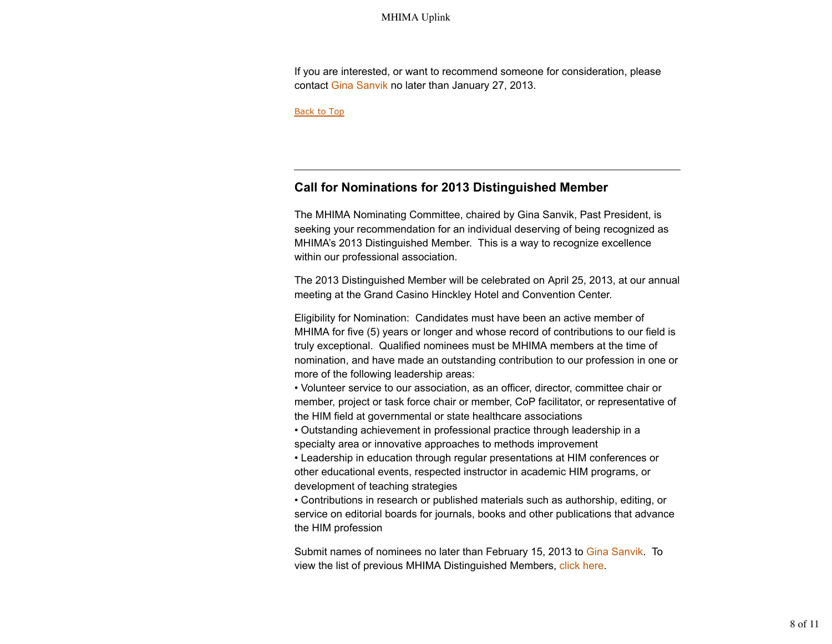If you are interested, or want to recommend someone for consideration, please contact Gina Sanvik no later than January 27, 2013.

Back to Top

## **Call for Nominations for 2013 Distinguished Member**

The MHIMA Nominating Committee, chaired by Gina Sanvik, Past President, is seeking your recommendation for an individual deserving of being recognized as MHIMA's 2013 Distinguished Member. This is a way to recognize excellence within our professional association.

The 2013 Distinguished Member will be celebrated on April 25, 2013, at our annual meeting at the Grand Casino Hinckley Hotel and Convention Center.

Eligibility for Nomination: Candidates must have been an active member of MHIMA for five (5) years or longer and whose record of contributions to our field is truly exceptional. Qualified nominees must be MHIMA members at the time of nomination, and have made an outstanding contribution to our profession in one or more of the following leadership areas:

• Volunteer service to our association, as an officer, director, committee chair or member, project or task force chair or member, CoP facilitator, or representative of the HIM field at governmental or state healthcare associations

• Outstanding achievement in professional practice through leadership in a specialty area or innovative approaches to methods improvement

• Leadership in education through regular presentations at HIM conferences or other educational events, respected instructor in academic HIM programs, or development of teaching strategies

• Contributions in research or published materials such as authorship, editing, or service on editorial boards for journals, books and other publications that advance the HIM profession

Submit names of nominees no later than February 15, 2013 to Gina Sanvik. To view the list of previous MHIMA Distinguished Members, click here.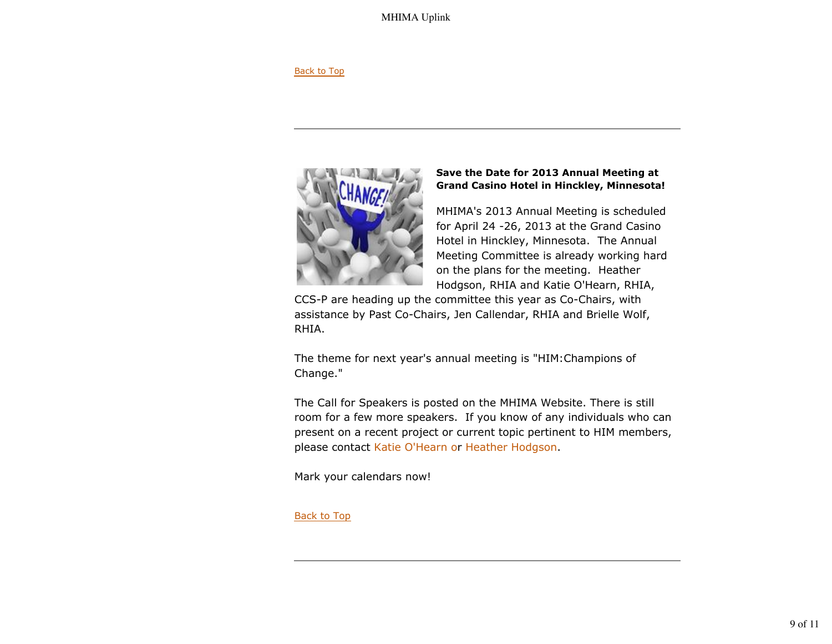#### Back to Top



### **Save the Date for 2013 Annual Meeting at Grand Casino Hotel in Hinckley, Minnesota!**

MHIMA's 2013 Annual Meeting is scheduled for April 24 -26, 2013 at the Grand Casino Hotel in Hinckley, Minnesota. The Annual Meeting Committee is already working hard on the plans for the meeting. Heather Hodgson, RHIA and Katie O'Hearn, RHIA,

CCS-P are heading up the committee this year as Co-Chairs, with assistance by Past Co-Chairs, Jen Callendar, RHIA and Brielle Wolf, RHIA.

The theme for next year's annual meeting is "HIM:Champions of Change."

The Call for Speakers is posted on the MHIMA Website. There is still room for a few more speakers. If you know of any individuals who can present on a recent project or current topic pertinent to HIM members, please contact Katie O'Hearn or Heather Hodgson.

Mark your calendars now!

### Back to Top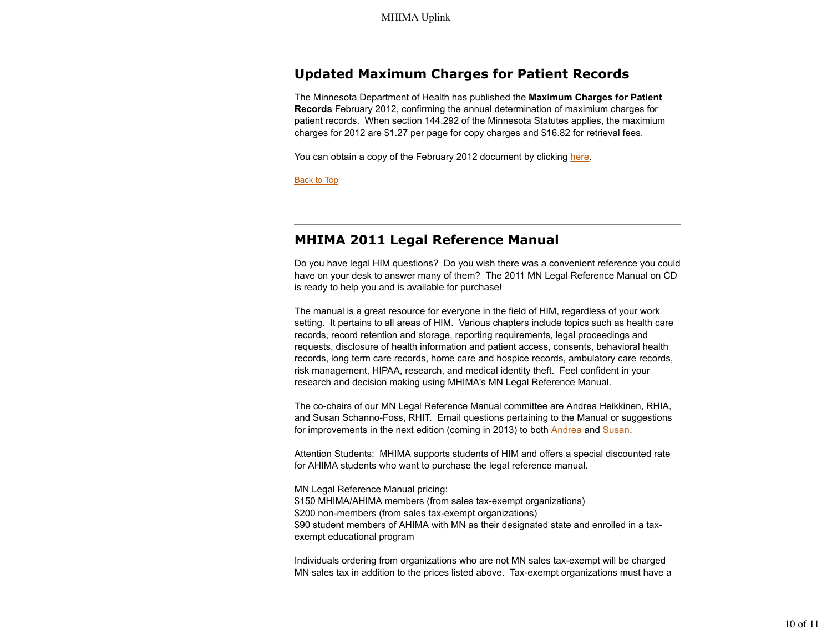# **Updated Maximum Charges for Patient Records**

The Minnesota Department of Health has published the **Maximum Charges for Patient Records** February 2012, confirming the annual determination of maximium charges for patient records. When section 144.292 of the Minnesota Statutes applies, the maximium charges for 2012 are \$1.27 per page for copy charges and \$16.82 for retrieval fees.

You can obtain a copy of the February 2012 document by clicking here.

Back to Top

# **MHIMA 2011 Legal Reference Manual**

Do you have legal HIM questions? Do you wish there was a convenient reference you could have on your desk to answer many of them? The 2011 MN Legal Reference Manual on CD is ready to help you and is available for purchase!

The manual is a great resource for everyone in the field of HIM, regardless of your work setting. It pertains to all areas of HIM. Various chapters include topics such as health care records, record retention and storage, reporting requirements, legal proceedings and requests, disclosure of health information and patient access, consents, behavioral health records, long term care records, home care and hospice records, ambulatory care records, risk management, HIPAA, research, and medical identity theft. Feel confident in your research and decision making using MHIMA's MN Legal Reference Manual.

The co-chairs of our MN Legal Reference Manual committee are Andrea Heikkinen, RHIA, and Susan Schanno-Foss, RHIT. Email questions pertaining to the Manual or suggestions for improvements in the next edition (coming in 2013) to both Andrea and Susan.

Attention Students: MHIMA supports students of HIM and offers a special discounted rate for AHIMA students who want to purchase the legal reference manual.

MN Legal Reference Manual pricing: \$150 MHIMA/AHIMA members (from sales tax-exempt organizations) \$200 non-members (from sales tax-exempt organizations) \$90 student members of AHIMA with MN as their designated state and enrolled in a taxexempt educational program

Individuals ordering from organizations who are not MN sales tax-exempt will be charged MN sales tax in addition to the prices listed above. Tax-exempt organizations must have a